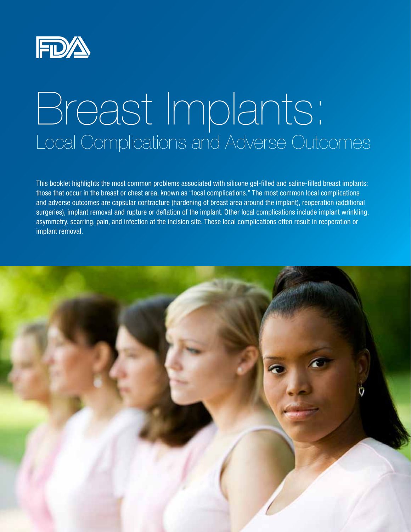

# Breast Implants: Local Complications and Adverse Outcomes

This booklet highlights the most common problems associated with silicone gel-filled and saline-filled breast implants: those that occur in the breast or chest area, known as "local complications." The most common local complications and adverse outcomes are capsular contracture (hardening of breast area around the implant), reoperation (additional surgeries), implant removal and rupture or deflation of the implant. Other local complications include implant wrinkling, asymmetry, scarring, pain, and infection at the incision site. These local complications often result in reoperation or implant removal.

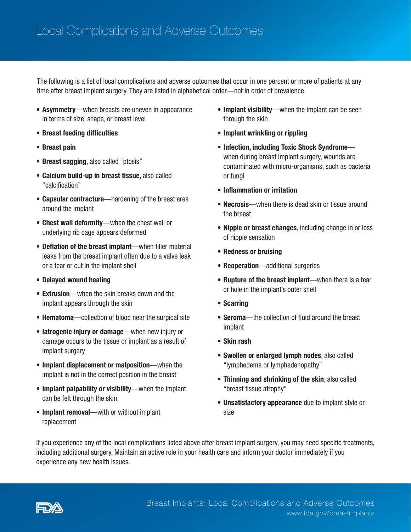The following is a list of local complications and adverse outcomes that occur in one percent or more of patients at any time after breast implant surgery. They are listed in alphabetical order—not in order of prevalence.

- **Asymmetry**—when breasts are uneven in appearance in terms of size, shape, or breast level
- • Breast feeding difficulties
- • Breast pain
- Breast sagging, also called "ptosis"
- Calcium build-up in breast tissue, also called "calcification"
- Capsular contracture—hardening of the breast area around the implant
- Chest wall deformity—when the chest wall or underlying rib cage appears deformed
- Deflation of the breast implant—when filler material leaks from the breast implant often due to a valve leak or a tear or cut in the implant shell
- • Delayed wound healing
- **Extrusion**—when the skin breaks down and the implant appears through the skin
- Hematoma-collection of blood near the surgical site
- latrogenic injury or damage—when new injury or damage occurs to the tissue or implant as a result of implant surgery
- Implant displacement or malposition—when the implant is not in the correct position in the breast
- Implant palpability or visibility—when the implant can be felt through the skin
- Implant removal—with or without implant replacement
- Implant visibility—when the implant can be seen through the skin
- Implant wrinkling or rippling
- Infection, including Toxic Shock Syndromewhen during breast implant surgery, wounds are contaminated with micro-organisms, such as bacteria or fungi
- • Inflammation or irritation
- **Necrosis**—when there is dead skin or tissue around the breast
- Nipple or breast changes, including change in or loss of nipple sensation
- • Redness or bruising
- Reoperation-additional surgeries
- Rupture of the breast implant—when there is a tear or hole in the implant's outer shell
- • Scarring
- Seroma—the collection of fluid around the breast implant
- • Skin rash
- Swollen or enlarged lymph nodes, also called "lymphedema or lymphadenopathy"
- Thinning and shrinking of the skin, also called "breast tissue atrophy"
- Unsatisfactory appearance due to implant style or size

If you experience any of the local complications listed above after breast implant surgery, you may need specific treatments, including additional surgery. Maintain an active role in your health care and inform your doctor immediately if you experience any new health issues.

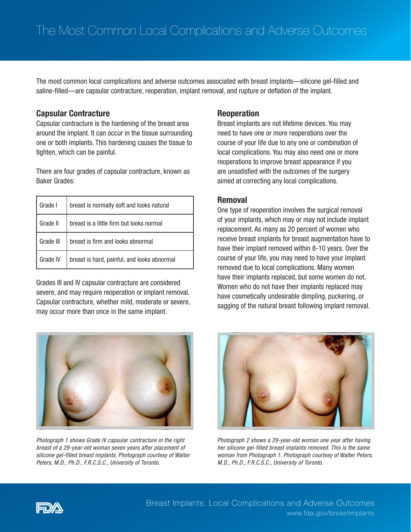The most common local complications and adverse outcomes associated with breast implants—silicone gel-filled and saline-filled—are capsular contracture, reoperation, implant removal, and rupture or deflation of the implant.

# Capsular Contracture

Capsular contracture is the hardening of the breast area around the implant. It can occur in the tissue surrounding one or both implants. This hardening causes the tissue to tighten, which can be painful.

There are four grades of capsular contracture, known as Baker Grades:

| Grade I   | breast is normally soft and looks natural   |
|-----------|---------------------------------------------|
| Grade II  | breast is a little firm but looks normal    |
| Grade III | breast is firm and looks abnormal           |
| Grade IV  | breast is hard, painful, and looks abnormal |

Grades III and IV capsular contracture are considered severe, and may require reoperation or implant removal. Capsular contracture, whether mild, moderate or severe, may occur more than once in the same implant.



*Photograph 1 shows Grade IV capsular contracture in the right breast of a 29-year-old woman seven years after placement of silicone gel-filled breast implants. Photograph courtesy of Walter Peters, M.D., Ph.D., F.R.C.S.C., University of Toronto.*

## Reoperation

Breast implants are not lifetime devices. You may need to have one or more reoperations over the course of your life due to any one or combination of local complications. You may also need one or more reoperations to improve breast appearance if you are unsatisfied with the outcomes of the surgery aimed at correcting any local complications.

### Removal

One type of reoperation involves the surgical removal of your implants, which may or may not include implant replacement. As many as 20 percent of women who receive breast implants for breast augmentation have to have their implant removed within 8-10 years. Over the course of your life, you may need to have your implant removed due to local complications. Many women have their implants replaced, but some women do not. Women who do not have their implants replaced may have cosmetically undesirable dimpling, puckering, or sagging of the natural breast following implant removal.



*Photograph 2 shows a 29-year-old woman one year after having her silicone gel-filled breast implants removed. This is the same woman from Photograph 1. Photograph courtesy of Walter Peters, M.D., Ph.D., F.R.C.S.C., University of Toronto.*

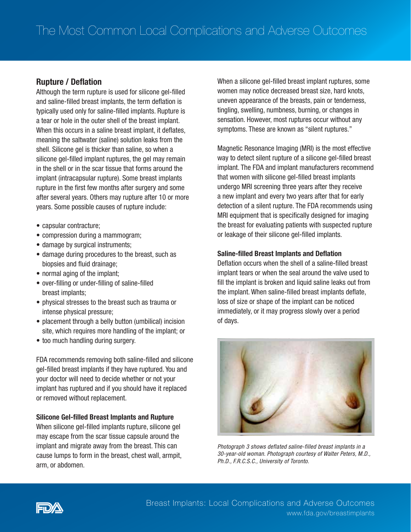# Rupture / Deflation

Although the term rupture is used for silicone gel-filled and saline-filled breast implants, the term deflation is typically used only for saline-filled implants. Rupture is a tear or hole in the outer shell of the breast implant. When this occurs in a saline breast implant, it deflates, meaning the saltwater (saline) solution leaks from the shell. Silicone gel is thicker than saline, so when a silicone gel-filled implant ruptures, the gel may remain in the shell or in the scar tissue that forms around the implant (intracapsular rupture). Some breast implants rupture in the first few months after surgery and some after several years. Others may rupture after 10 or more years. Some possible causes of rupture include:

- capsular contracture;
- compression during a mammogram;
- damage by surgical instruments;
- damage during procedures to the breast, such as biopsies and fluid drainage;
- normal aging of the implant;
- over-filling or under-filling of saline-filled breast implants;
- physical stresses to the breast such as trauma or intense physical pressure;
- placement through a belly button (umbilical) incision site, which requires more handling of the implant; or
- too much handling during surgery.

FDA recommends removing both saline-filled and silicone gel-filled breast implants if they have ruptured. You and your doctor will need to decide whether or not your implant has ruptured and if you should have it replaced or removed without replacement.

#### Silicone Gel-filled Breast Implants and Rupture

When silicone gel-filled implants rupture, silicone gel may escape from the scar tissue capsule around the implant and migrate away from the breast. This can cause lumps to form in the breast, chest wall, armpit, arm, or abdomen.

When a silicone gel-filled breast implant ruptures, some women may notice decreased breast size, hard knots, uneven appearance of the breasts, pain or tenderness, tingling, swelling, numbness, burning, or changes in sensation. However, most ruptures occur without any symptoms. These are known as "silent ruptures."

Magnetic Resonance Imaging (MRI) is the most effective way to detect silent rupture of a silicone gel-filled breast implant. The FDA and implant manufacturers recommend that women with silicone gel-filled breast implants undergo MRI screening three years after they receive a new implant and every two years after that for early detection of a silent rupture. The FDA recommends using MRI equipment that is specifically designed for imaging the breast for evaluating patients with suspected rupture or leakage of their silicone gel-filled implants.

#### Saline-filled Breast Implants and Deflation

Deflation occurs when the shell of a saline-filled breast implant tears or when the seal around the valve used to fill the implant is broken and liquid saline leaks out from the implant. When saline-filled breast implants deflate, loss of size or shape of the implant can be noticed immediately, or it may progress slowly over a period of days.



*Photograph 3 shows deflated saline-filled breast implants in a 30-year-old woman. Photograph courtesy of Walter Peters, M.D., Ph.D., F.R.C.S.C., University of Toronto.*

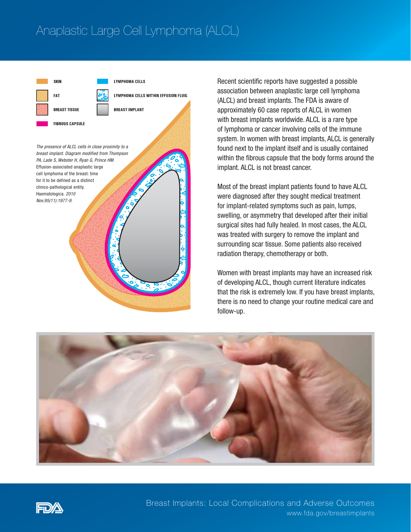# Anaplastic Large Cell Lymphoma (ALCL)



Recent scientific reports have suggested a possible association between anaplastic large cell lymphoma (ALCL) and breast implants. The FDA is aware of approximately 60 case reports of ALCL in women with breast implants worldwide. ALCL is a rare type of lymphoma or cancer involving cells of the immune system. In women with breast implants, ALCL is generally found next to the implant itself and is usually contained within the fibrous capsule that the body forms around the implant. ALCL is not breast cancer.

Most of the breast implant patients found to have ALCL were diagnosed after they sought medical treatment for implant-related symptoms such as pain, lumps, swelling, or asymmetry that developed after their initial surgical sites had fully healed. In most cases, the ALCL was treated with surgery to remove the implant and surrounding scar tissue. Some patients also received radiation therapy, chemotherapy or both.

Women with breast implants may have an increased risk of developing ALCL, though current literature indicates that the risk is extremely low. If you have breast implants, there is no need to change your routine medical care and follow-up.